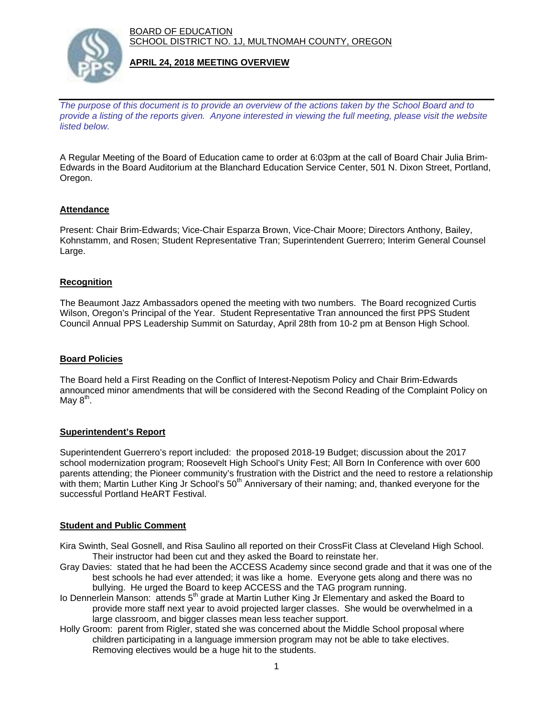BOARD OF EDUCATION SCHOOL DISTRICT NO. 1J, MULTNOMAH COUNTY, OREGON



## **APRIL 24, 2018 MEETING OVERVIEW**

*The purpose of this document is to provide an overview of the actions taken by the School Board and to provide a listing of the reports given. Anyone interested in viewing the full meeting, please visit the website listed below.*

A Regular Meeting of the Board of Education came to order at 6:03pm at the call of Board Chair Julia Brim-Edwards in the Board Auditorium at the Blanchard Education Service Center, 501 N. Dixon Street, Portland, Oregon.

## **Attendance**

Present: Chair Brim-Edwards; Vice-Chair Esparza Brown, Vice-Chair Moore; Directors Anthony, Bailey, Kohnstamm, and Rosen; Student Representative Tran; Superintendent Guerrero; Interim General Counsel Large.

## **Recognition**

The Beaumont Jazz Ambassadors opened the meeting with two numbers. The Board recognized Curtis Wilson, Oregon's Principal of the Year. Student Representative Tran announced the first PPS Student Council Annual PPS Leadership Summit on Saturday, April 28th from 10-2 pm at Benson High School.

### **Board Policies**

The Board held a First Reading on the Conflict of Interest-Nepotism Policy and Chair Brim-Edwards announced minor amendments that will be considered with the Second Reading of the Complaint Policy on May  $8<sup>th</sup>$ .

#### **Superintendent's Report**

Superintendent Guerrero's report included: the proposed 2018-19 Budget; discussion about the 2017 school modernization program; Roosevelt High School's Unity Fest; All Born In Conference with over 600 parents attending; the Pioneer community's frustration with the District and the need to restore a relationship with them; Martin Luther King Jr School's 50<sup>th</sup> Anniversary of their naming; and, thanked everyone for the successful Portland HeART Festival.

#### **Student and Public Comment**

- Kira Swinth, Seal Gosnell, and Risa Saulino all reported on their CrossFit Class at Cleveland High School. Their instructor had been cut and they asked the Board to reinstate her.
- Gray Davies: stated that he had been the ACCESS Academy since second grade and that it was one of the best schools he had ever attended; it was like a home. Everyone gets along and there was no bullying. He urged the Board to keep ACCESS and the TAG program running.
- Io Dennerlein Manson: attends 5<sup>th</sup> grade at Martin Luther King Jr Elementary and asked the Board to provide more staff next year to avoid projected larger classes. She would be overwhelmed in a large classroom, and bigger classes mean less teacher support.
- Holly Groom: parent from Rigler, stated she was concerned about the Middle School proposal where children participating in a language immersion program may not be able to take electives. Removing electives would be a huge hit to the students.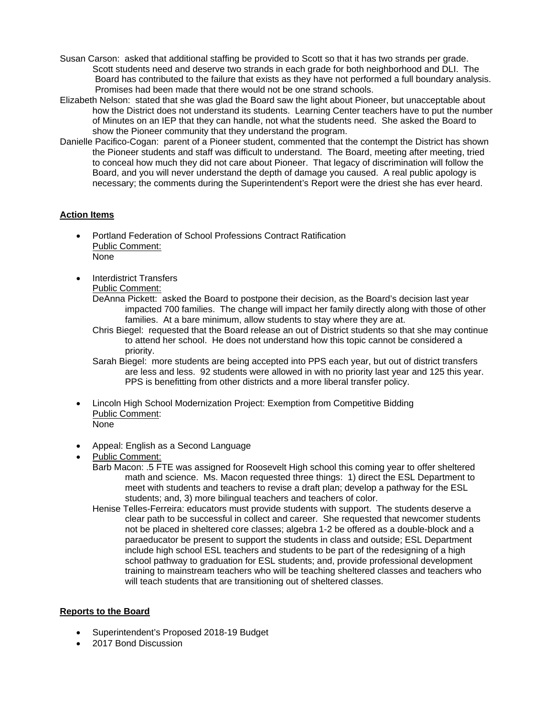- Susan Carson: asked that additional staffing be provided to Scott so that it has two strands per grade. Scott students need and deserve two strands in each grade for both neighborhood and DLI. The Board has contributed to the failure that exists as they have not performed a full boundary analysis. Promises had been made that there would not be one strand schools.
- Elizabeth Nelson: stated that she was glad the Board saw the light about Pioneer, but unacceptable about how the District does not understand its students. Learning Center teachers have to put the number of Minutes on an IEP that they can handle, not what the students need. She asked the Board to show the Pioneer community that they understand the program.
- Danielle Pacifico-Cogan: parent of a Pioneer student, commented that the contempt the District has shown the Pioneer students and staff was difficult to understand. The Board, meeting after meeting, tried to conceal how much they did not care about Pioneer. That legacy of discrimination will follow the Board, and you will never understand the depth of damage you caused. A real public apology is necessary; the comments during the Superintendent's Report were the driest she has ever heard.

# **Action Items**

- Portland Federation of School Professions Contract Ratification Public Comment: None
- Interdistrict Transfers

Public Comment:

- DeAnna Pickett: asked the Board to postpone their decision, as the Board's decision last year impacted 700 families. The change will impact her family directly along with those of other families. At a bare minimum, allow students to stay where they are at.
- Chris Biegel: requested that the Board release an out of District students so that she may continue to attend her school. He does not understand how this topic cannot be considered a priority.
- Sarah Biegel: more students are being accepted into PPS each year, but out of district transfers are less and less. 92 students were allowed in with no priority last year and 125 this year. PPS is benefitting from other districts and a more liberal transfer policy.
- Lincoln High School Modernization Project: Exemption from Competitive Bidding Public Comment:
	- None
- Appeal: English as a Second Language
- Public Comment:
	- Barb Macon: .5 FTE was assigned for Roosevelt High school this coming year to offer sheltered math and science. Ms. Macon requested three things: 1) direct the ESL Department to meet with students and teachers to revise a draft plan; develop a pathway for the ESL students; and, 3) more bilingual teachers and teachers of color.
	- Henise Telles-Ferreira: educators must provide students with support. The students deserve a clear path to be successful in collect and career. She requested that newcomer students not be placed in sheltered core classes; algebra 1-2 be offered as a double-block and a paraeducator be present to support the students in class and outside; ESL Department include high school ESL teachers and students to be part of the redesigning of a high school pathway to graduation for ESL students; and, provide professional development training to mainstream teachers who will be teaching sheltered classes and teachers who will teach students that are transitioning out of sheltered classes.

## **Reports to the Board**

- Superintendent's Proposed 2018-19 Budget
- 2017 Bond Discussion